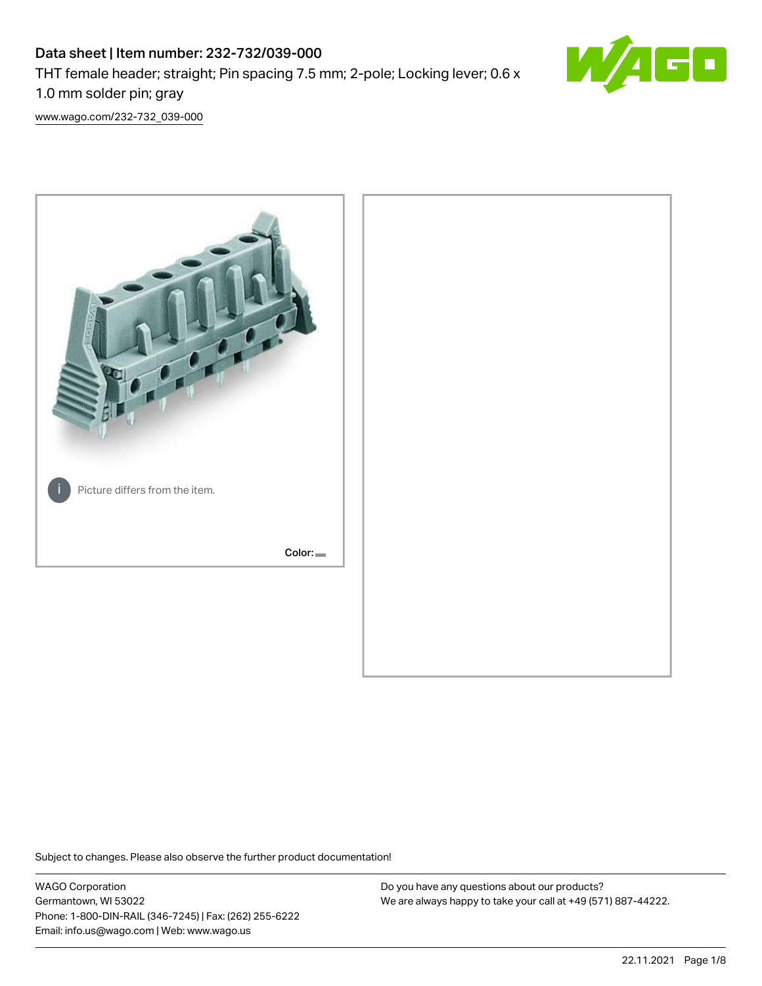# Data sheet | Item number: 232-732/039-000 THT female header; straight; Pin spacing 7.5 mm; 2-pole; Locking lever; 0.6 x 1.0 mm solder pin; gray



[www.wago.com/232-732\\_039-000](http://www.wago.com/232-732_039-000)



Subject to changes. Please also observe the further product documentation!

WAGO Corporation Germantown, WI 53022 Phone: 1-800-DIN-RAIL (346-7245) | Fax: (262) 255-6222 Email: info.us@wago.com | Web: www.wago.us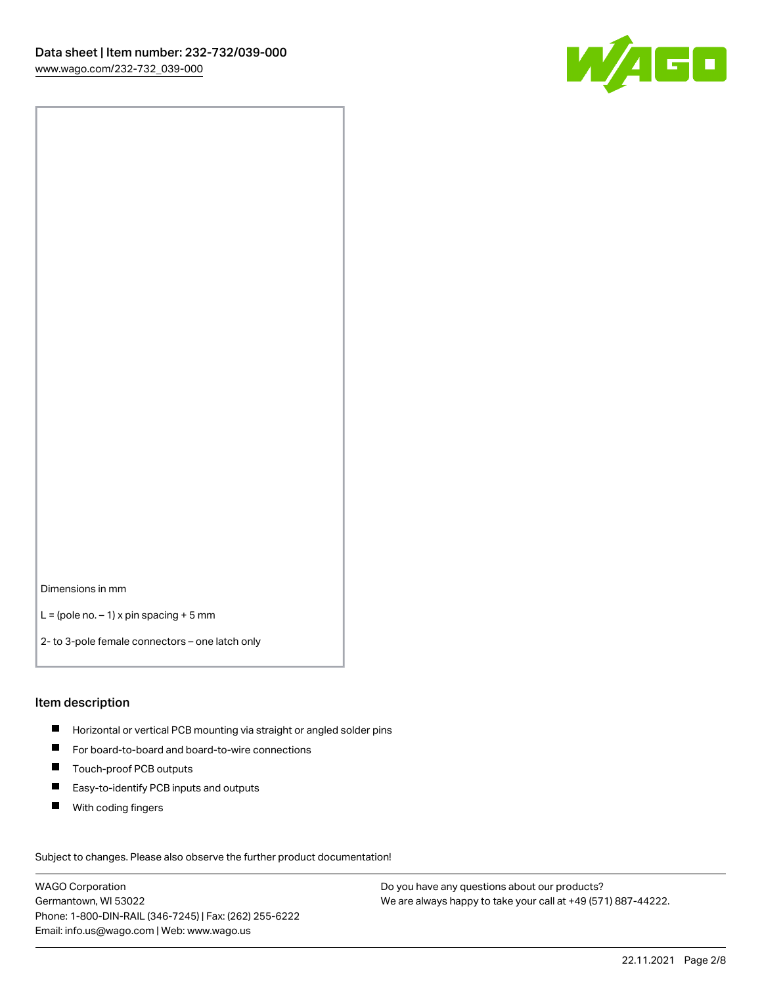

Dimensions in mm

 $L =$  (pole no.  $-1$ ) x pin spacing + 5 mm

2- to 3-pole female connectors – one latch only

### Item description

- **H** Horizontal or vertical PCB mounting via straight or angled solder pins
- For board-to-board and board-to-wire connections
- Touch-proof PCB outputs  $\blacksquare$
- $\blacksquare$ Easy-to-identify PCB inputs and outputs
- $\blacksquare$ With coding fingers

Subject to changes. Please also observe the further product documentation! Data

WAGO Corporation Germantown, WI 53022 Phone: 1-800-DIN-RAIL (346-7245) | Fax: (262) 255-6222 Email: info.us@wago.com | Web: www.wago.us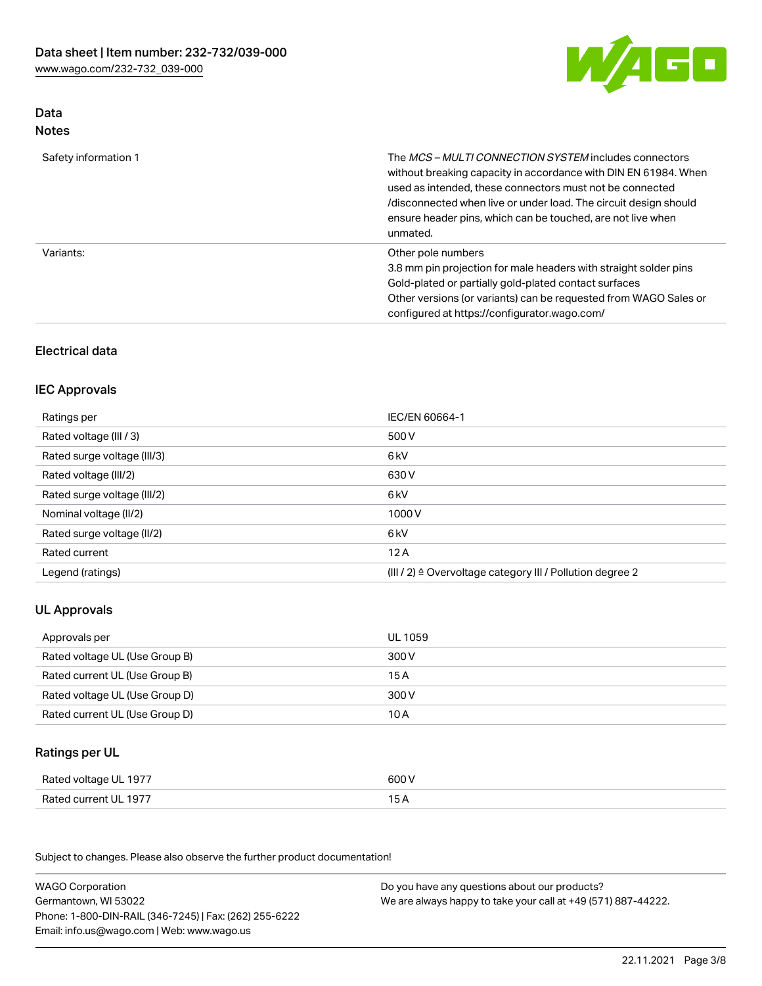

# Data Notes

| Safety information 1 | The <i>MCS – MULTI CONNECTION SYSTEM</i> includes connectors<br>without breaking capacity in accordance with DIN EN 61984. When<br>used as intended, these connectors must not be connected<br>/disconnected when live or under load. The circuit design should<br>ensure header pins, which can be touched, are not live when<br>unmated. |
|----------------------|--------------------------------------------------------------------------------------------------------------------------------------------------------------------------------------------------------------------------------------------------------------------------------------------------------------------------------------------|
| Variants:            | Other pole numbers<br>3.8 mm pin projection for male headers with straight solder pins<br>Gold-plated or partially gold-plated contact surfaces<br>Other versions (or variants) can be requested from WAGO Sales or<br>configured at https://configurator.wago.com/                                                                        |

# Electrical data

### IEC Approvals

| Ratings per                 | IEC/EN 60664-1                                                        |
|-----------------------------|-----------------------------------------------------------------------|
| Rated voltage (III / 3)     | 500 V                                                                 |
| Rated surge voltage (III/3) | 6 kV                                                                  |
| Rated voltage (III/2)       | 630 V                                                                 |
| Rated surge voltage (III/2) | 6 kV                                                                  |
| Nominal voltage (II/2)      | 1000 V                                                                |
| Rated surge voltage (II/2)  | 6 kV                                                                  |
| Rated current               | 12A                                                                   |
| Legend (ratings)            | $(III / 2)$ $\triangle$ Overvoltage category III / Pollution degree 2 |

# UL Approvals

| Approvals per                  | UL 1059 |
|--------------------------------|---------|
| Rated voltage UL (Use Group B) | 300 V   |
| Rated current UL (Use Group B) | 15 A    |
| Rated voltage UL (Use Group D) | 300 V   |
| Rated current UL (Use Group D) | 10 A    |

# Ratings per UL

| Rated voltage UL 1977 | 600 V |
|-----------------------|-------|
| Rated current UL 1977 |       |

Subject to changes. Please also observe the further product documentation!

| <b>WAGO Corporation</b>                                | Do you have any questions about our products?                 |
|--------------------------------------------------------|---------------------------------------------------------------|
| Germantown, WI 53022                                   | We are always happy to take your call at +49 (571) 887-44222. |
| Phone: 1-800-DIN-RAIL (346-7245)   Fax: (262) 255-6222 |                                                               |
| Email: info.us@wago.com   Web: www.wago.us             |                                                               |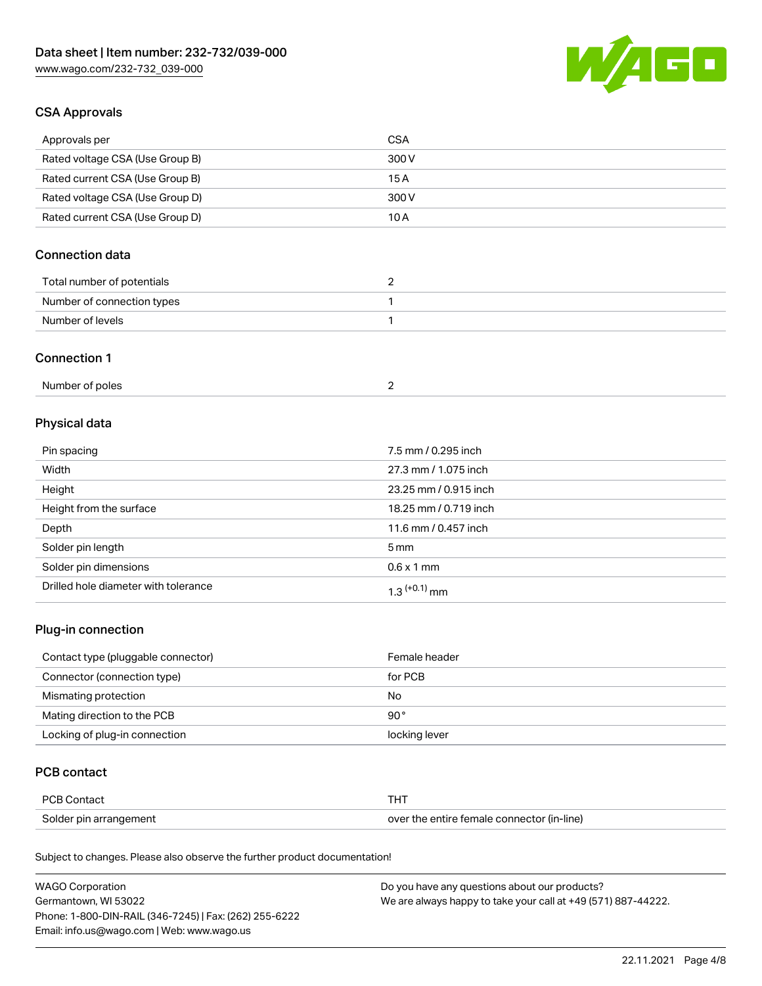

## CSA Approvals

| Approvals per                   | CSA   |
|---------------------------------|-------|
| Rated voltage CSA (Use Group B) | 300 V |
| Rated current CSA (Use Group B) | 15 A  |
| Rated voltage CSA (Use Group D) | 300 V |
| Rated current CSA (Use Group D) | 10 A  |

# Connection data

| Total number of potentials |  |
|----------------------------|--|
| Number of connection types |  |
| Number of levels           |  |

### Connection 1

| Number of poles |  |
|-----------------|--|
|-----------------|--|

# Physical data

| Pin spacing             | 7.5 mm / 0.295 inch   |
|-------------------------|-----------------------|
| Width                   | 27.3 mm / 1.075 inch  |
| Height                  | 23.25 mm / 0.915 inch |
| Height from the surface | 18.25 mm / 0.719 inch |
| Depth                   | 11.6 mm / 0.457 inch  |
| Solder pin length       | $5 \,\mathrm{mm}$     |
| Solder pin dimensions   | $0.6 \times 1$ mm     |
|                         |                       |

# Plug-in connection

| Contact type (pluggable connector) | Female header |
|------------------------------------|---------------|
| Connector (connection type)        | for PCB       |
| Mismating protection               | No            |
| Mating direction to the PCB        | 90 °          |
| Locking of plug-in connection      | locking lever |

## PCB contact

| <b>PCB Contact</b>     | тнт                                        |
|------------------------|--------------------------------------------|
| Solder pin arrangement | over the entire female connector (in-line) |

Subject to changes. Please also observe the further product documentation!

| <b>WAGO Corporation</b>                                | Do you have any questions about our products?                 |
|--------------------------------------------------------|---------------------------------------------------------------|
| Germantown, WI 53022                                   | We are always happy to take your call at +49 (571) 887-44222. |
| Phone: 1-800-DIN-RAIL (346-7245)   Fax: (262) 255-6222 |                                                               |
| Email: info.us@wago.com   Web: www.wago.us             |                                                               |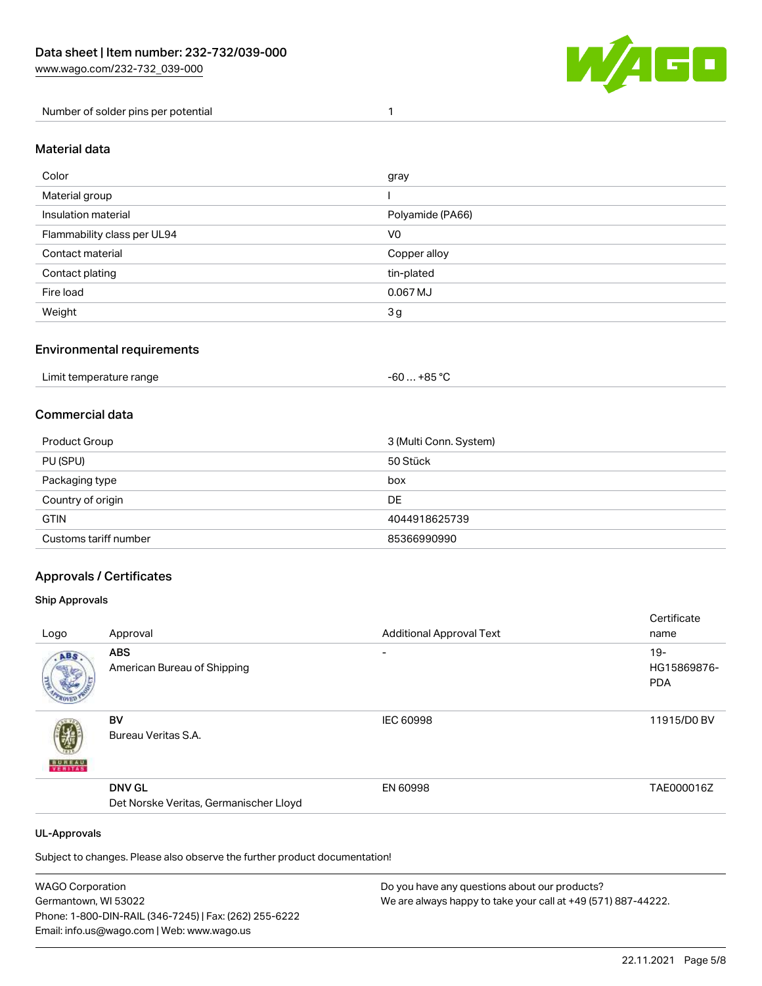

Number of solder pins per potential 1

### Material data

| Color                       | gray             |
|-----------------------------|------------------|
| Material group              |                  |
| Insulation material         | Polyamide (PA66) |
| Flammability class per UL94 | V0               |
| Contact material            | Copper alloy     |
| Contact plating             | tin-plated       |
| Fire load                   | 0.067 MJ         |
| Weight                      | 3g               |

### Environmental requirements

| Limit temperature range<br>. +85 °Ր<br>-60<br>.<br>. |  |
|------------------------------------------------------|--|
|------------------------------------------------------|--|

### Commercial data

| Product Group         | 3 (Multi Conn. System) |
|-----------------------|------------------------|
| PU (SPU)              | 50 Stück               |
| Packaging type        | box                    |
| Country of origin     | DE                     |
| <b>GTIN</b>           | 4044918625739          |
| Customs tariff number | 85366990990            |

### Approvals / Certificates

#### Ship Approvals

|                          |                                        |                                 | Certificate |
|--------------------------|----------------------------------------|---------------------------------|-------------|
| Logo                     | Approval                               | <b>Additional Approval Text</b> | name        |
| ABS.                     | <b>ABS</b>                             | ۰                               | $19 -$      |
|                          | American Bureau of Shipping            |                                 | HG15869876- |
|                          |                                        |                                 | <b>PDA</b>  |
|                          |                                        |                                 |             |
|                          | BV                                     | <b>IEC 60998</b>                | 11915/D0 BV |
|                          | Bureau Veritas S.A.                    |                                 |             |
| <b>BUREAU</b><br>VERITAS |                                        |                                 |             |
|                          | <b>DNV GL</b>                          | EN 60998                        | TAE000016Z  |
|                          | Det Norske Veritas, Germanischer Lloyd |                                 |             |
|                          |                                        |                                 |             |
| <b>UL-Approvals</b>      |                                        |                                 |             |

Subject to changes. Please also observe the further product documentation!

| <b>WAGO Corporation</b>                                | Do you have any questions about our products?                 |
|--------------------------------------------------------|---------------------------------------------------------------|
| Germantown, WI 53022                                   | We are always happy to take your call at +49 (571) 887-44222. |
| Phone: 1-800-DIN-RAIL (346-7245)   Fax: (262) 255-6222 |                                                               |
| Email: info.us@wago.com   Web: www.wago.us             |                                                               |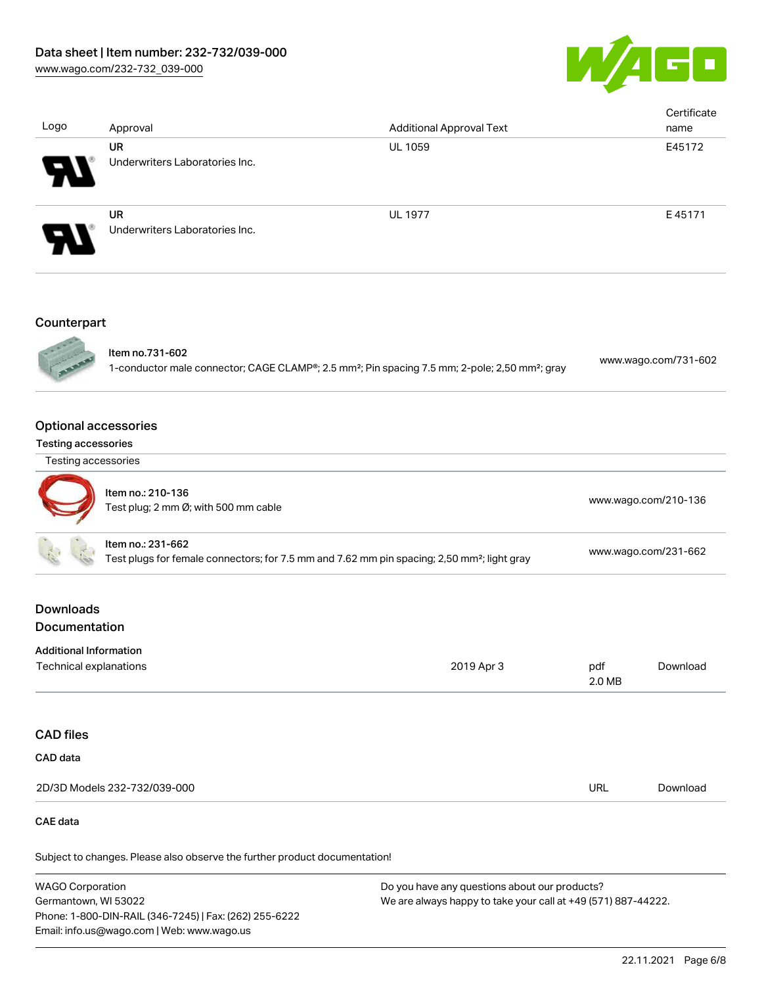

| Logo                                                                                                                         | Approval                                                  | <b>Additional Approval Text</b>                                                                                        |                           | Certificate<br>name  |
|------------------------------------------------------------------------------------------------------------------------------|-----------------------------------------------------------|------------------------------------------------------------------------------------------------------------------------|---------------------------|----------------------|
|                                                                                                                              | <b>UR</b><br>Underwriters Laboratories Inc.               | UL 1059                                                                                                                |                           | E45172               |
|                                                                                                                              | UR<br>Underwriters Laboratories Inc.                      | <b>UL 1977</b>                                                                                                         |                           | E45171               |
| Counterpart                                                                                                                  | Item no.731-602                                           |                                                                                                                        |                           |                      |
|                                                                                                                              |                                                           | 1-conductor male connector; CAGE CLAMP®; 2.5 mm <sup>2</sup> ; Pin spacing 7.5 mm; 2-pole; 2,50 mm <sup>2</sup> ; gray |                           | www.wago.com/731-602 |
| <b>Optional accessories</b><br><b>Testing accessories</b>                                                                    |                                                           |                                                                                                                        |                           |                      |
| Testing accessories                                                                                                          |                                                           |                                                                                                                        |                           |                      |
|                                                                                                                              | Item no.: 210-136<br>Test plug; 2 mm Ø; with 500 mm cable |                                                                                                                        |                           | www.wago.com/210-136 |
| Item no.: 231-662<br>Test plugs for female connectors; for 7.5 mm and 7.62 mm pin spacing; 2,50 mm <sup>2</sup> ; light gray |                                                           | www.wago.com/231-662                                                                                                   |                           |                      |
| <b>Downloads</b><br>Documentation                                                                                            |                                                           |                                                                                                                        |                           |                      |
| <b>Additional Information</b><br><b>Technical explanations</b>                                                               |                                                           | 2019 Apr 3                                                                                                             | pdf<br>$2.0\,\mathrm{MB}$ | Download             |
| <b>CAD files</b>                                                                                                             |                                                           |                                                                                                                        |                           |                      |
| CAD data                                                                                                                     |                                                           |                                                                                                                        |                           |                      |
|                                                                                                                              | 2D/3D Models 232-732/039-000                              |                                                                                                                        | <b>URL</b>                | Download             |
| <b>CAE</b> data                                                                                                              |                                                           |                                                                                                                        |                           |                      |

Subject to changes. Please also observe the further product documentation!

WAGO Corporation Germantown, WI 53022 Phone: 1-800-DIN-RAIL (346-7245) | Fax: (262) 255-6222 Email: info.us@wago.com | Web: www.wago.us Do you have any questions about our products? We are always happy to take your call at +49 (571) 887-44222.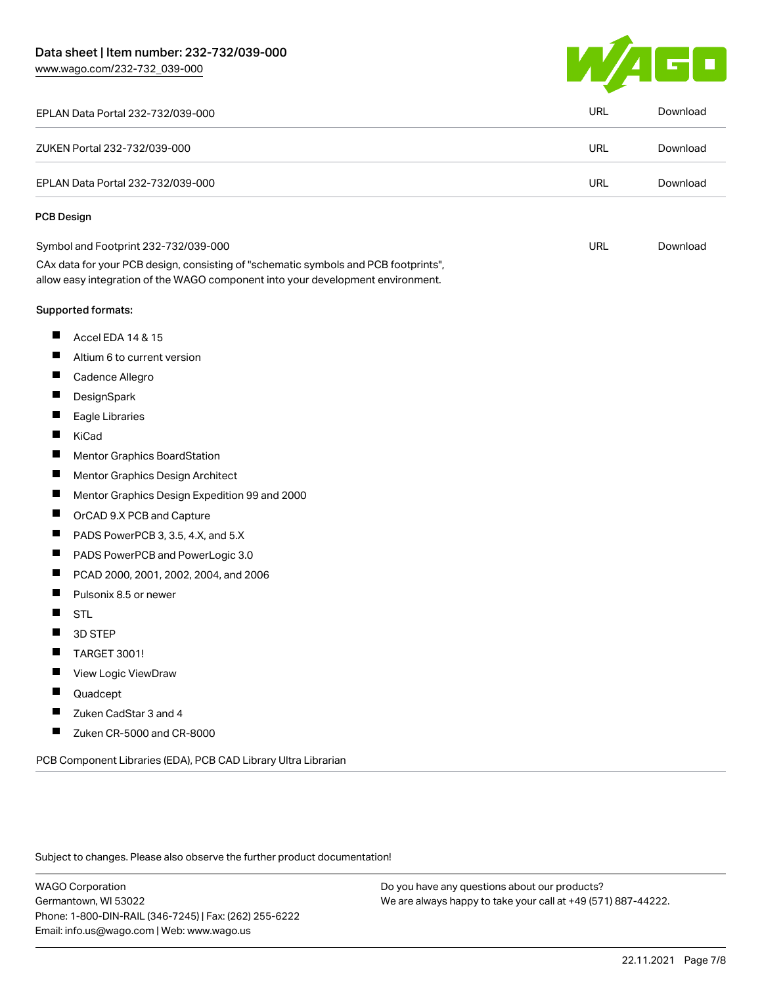[www.wago.com/232-732\\_039-000](http://www.wago.com/232-732_039-000)



| EPLAN Data Portal 232-732/039-000                                                                                                                                      | URL        | Download |
|------------------------------------------------------------------------------------------------------------------------------------------------------------------------|------------|----------|
| ZUKEN Portal 232-732/039-000                                                                                                                                           | <b>URL</b> | Download |
| EPLAN Data Portal 232-732/039-000                                                                                                                                      | URL        | Download |
| <b>PCB Design</b>                                                                                                                                                      |            |          |
| Symbol and Footprint 232-732/039-000                                                                                                                                   | <b>URL</b> | Download |
| CAx data for your PCB design, consisting of "schematic symbols and PCB footprints",<br>allow easy integration of the WAGO component into your development environment. |            |          |
| <b>Supported formats:</b>                                                                                                                                              |            |          |
| ш<br>Accel EDA 14 & 15                                                                                                                                                 |            |          |
| ш<br>Altium 6 to current version                                                                                                                                       |            |          |
| ш<br>Cadence Allegro                                                                                                                                                   |            |          |
| П<br>DesignSpark                                                                                                                                                       |            |          |
| ш<br>Eagle Libraries                                                                                                                                                   |            |          |
| ш<br>KiCad                                                                                                                                                             |            |          |
| a ka<br>Mentor Graphics BoardStation                                                                                                                                   |            |          |
| ш<br>Mentor Graphics Design Architect                                                                                                                                  |            |          |
| ш<br>Mentor Graphics Design Expedition 99 and 2000                                                                                                                     |            |          |
| ш<br>OrCAD 9.X PCB and Capture                                                                                                                                         |            |          |
| ц<br>PADS PowerPCB 3, 3.5, 4.X, and 5.X                                                                                                                                |            |          |
| PADS PowerPCB and PowerLogic 3.0<br>ш                                                                                                                                  |            |          |
| П<br>PCAD 2000, 2001, 2002, 2004, and 2006                                                                                                                             |            |          |
| ш<br>Pulsonix 8.5 or newer                                                                                                                                             |            |          |
| <b>STL</b>                                                                                                                                                             |            |          |
| 3D STEP                                                                                                                                                                |            |          |
| TARGET 3001!<br>щ                                                                                                                                                      |            |          |
| View Logic ViewDraw                                                                                                                                                    |            |          |
| ш<br>Quadcept                                                                                                                                                          |            |          |
| Zuken CadStar 3 and 4<br>П                                                                                                                                             |            |          |
| Ц<br>Zuken CR-5000 and CR-8000                                                                                                                                         |            |          |
| PCB Component Libraries (EDA), PCB CAD Library Ultra Librarian                                                                                                         |            |          |

Subject to changes. Please also observe the further product documentation!

WAGO Corporation Germantown, WI 53022 Phone: 1-800-DIN-RAIL (346-7245) | Fax: (262) 255-6222 Email: info.us@wago.com | Web: www.wago.us